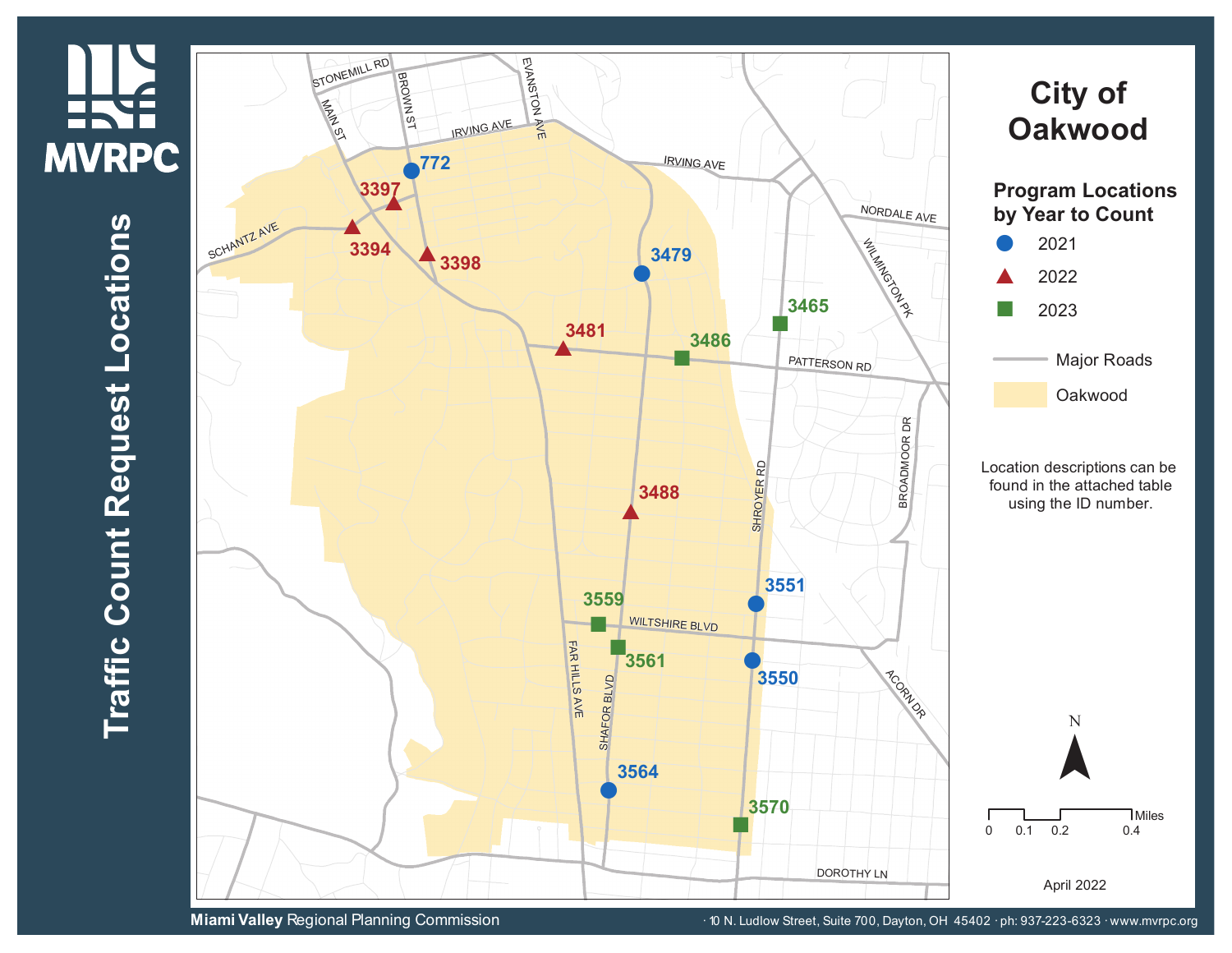## **HKE MVRPC**

 $\blacksquare$ **r a ffic C o u n t R e q u e s t L o**  $\mathbf{\mathbf{\mathbf{\mathbf{\omega}}}$ **a tio n s**



**Miami Valley** Regional Planning Commission **10 N. Ludlow Street, Suite 700, Dayton, OH 45402 · ph: 937-223-6323 · www.mvrpc.org**